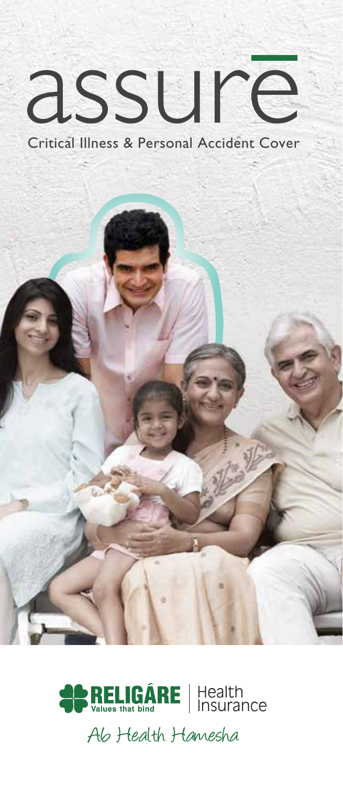# assure

Critical Illness & Personal Accident Cover





Ab Health Hamesha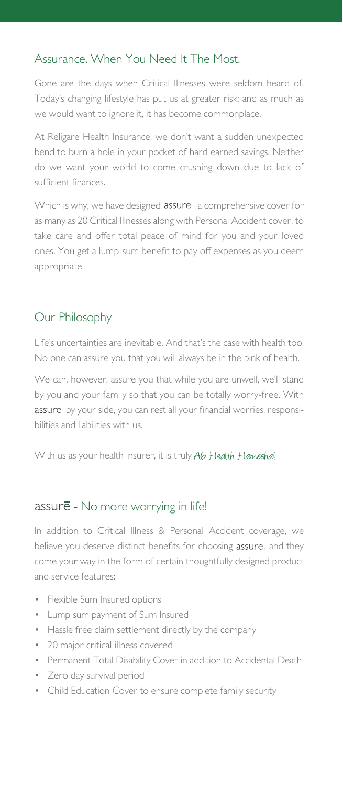## Assurance. When You Need It The Most.

Gone are the days when Critical Illnesses were seldom heard of. Today's changing lifestyle has put us at greater risk; and as much as we would want to ignore it, it has become commonplace.

At Religare Health Insurance, we don't want a sudden unexpected bend to burn a hole in your pocket of hard earned savings. Neither do we want your world to come crushing down due to lack of sufficient finances.

Which is why, we have designed assure - a comprehensive cover for as many as 20 Critical Illnesses along with Personal Accident cover, to take care and offer total peace of mind for you and your loved ones. You get a lump-sum benefit to pay off expenses as you deem appropriate.

## Our Philosophy

Life's uncertainties are inevitable. And that's the case with health too. No one can assure you that you will always be in the pink of health.

We can, however, assure you that while you are unwell, we'll stand by you and your family so that you can be totally worry-free. With assure by your side, you can rest all your financial worries, responsibilities and liabilities with us.

With us as your health insurer, it is truly Ab Health Hameshal

## assure - No more worrying in life!

In addition to Critical Illness & Personal Accident coverage, we believe you deserve distinct benefits for choosing  $assur\overline{e}$ , and they come your way in the form of certain thoughtfully designed product and service features:

- Flexible Sum Insured options
- Lump sum payment of Sum Insured
- Hassle free claim settlement directly by the company
- 20 major critical illness covered
- Permanent Total Disability Cover in addition to Accidental Death
- Zero day survival period
- Child Education Cover to ensure complete family security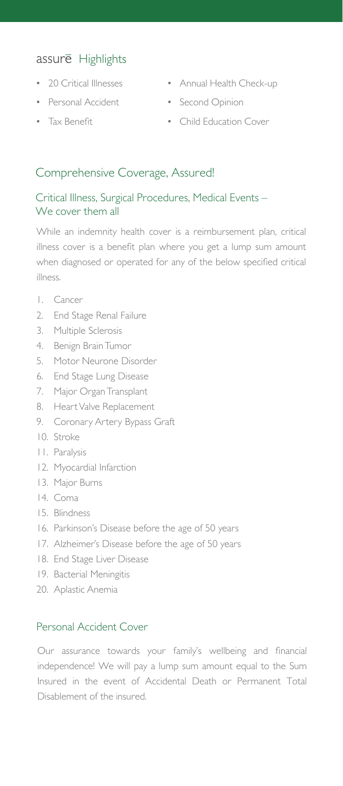# assure Highlights

- 
- Personal Accident Second Opinion
- 
- 20 Critical Illnesses Annual Health Check-up
	-
- Tax Benefit Child Education Cover

## Comprehensive Coverage, Assured!

#### Critical Illness, Surgical Procedures, Medical Events – We cover them all

While an indemnity health cover is a reimbursement plan, critical illness cover is a benefit plan where you get a lump sum amount when diagnosed or operated for any of the below specified critical illness.

- 1. Cancer
- 2. End Stage Renal Failure
- 3. Multiple Sclerosis
- 4. Benign Brain Tumor
- 5. Motor Neurone Disorder
- 6. End Stage Lung Disease
- 7. Major Organ Transplant
- 8. Heart Valve Replacement
- 9. Coronary Artery Bypass Graft
- 10. Stroke
- 11. Paralysis
- 12. Myocardial Infarction
- 13. Major Burns
- 14. Coma
- 15. Blindness
- 16. Parkinson's Disease before the age of 50 years
- 17. Alzheimer's Disease before the age of 50 years
- 18. End Stage Liver Disease
- 19. Bacterial Meningitis
- 20. Aplastic Anemia

#### Personal Accident Cover

Our assurance towards your family's wellbeing and financial independence! We will pay a lump sum amount equal to the Sum Insured in the event of Accidental Death or Permanent Total Disablement of the insured.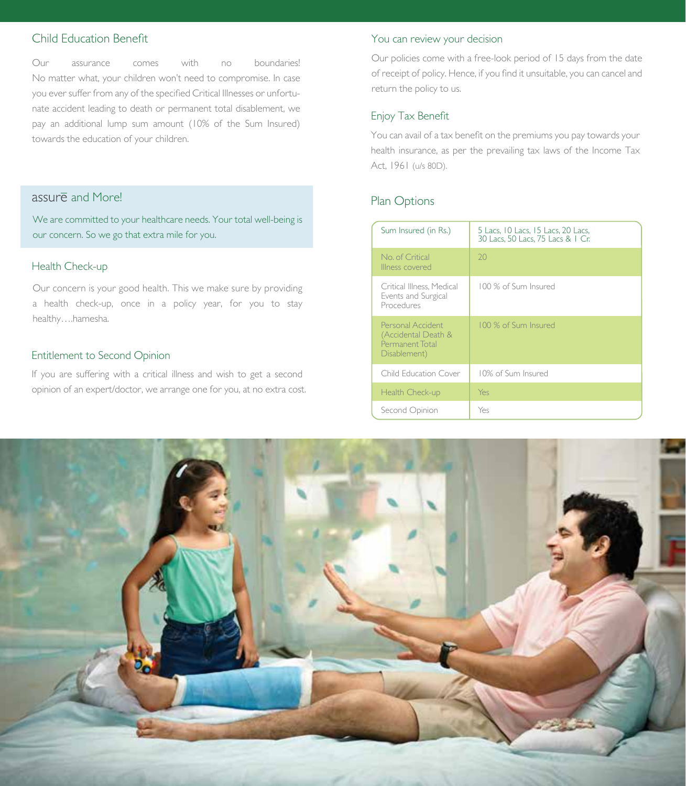## Child Education Benefit

Our assurance comes with no boundaries! No matter what, your children won't need to compromise. In case you ever suffer from any of the specified Critical Illnesses or unfortunate accident leading to death or permanent total disablement, we pay an additional lump sum amount (10% of the Sum Insured) towards the education of your children.

# assure and Morel

We are committed to your healthcare needs. Your total well-being is our concern. So we go that extra mile for you.

#### Health Check-up

Our concern is your good health. This we make sure by providing a health check-up, once in a policy year, for you to stay healthy….hamesha.

#### Entitlement to Second Opinion

If you are suffering with a critical illness and wish to get a second opinion of an expert/doctor, we arrange one for you, at no extra cost.

#### You can review your decision

Our policies come with a free-look period of 15 days from the date of receipt of policy. Hence, if you find it unsuitable, you can cancel and return the policy to us.

#### Enjoy Tax Benefit

You can avail of a tax benefit on the premiums you pay towards your health insurance, as per the prevailing tax laws of the Income Tax Act, 1961 (u/s 80D).

## Plan Options

| Sum Insured (in Rs.)                                                        | 5 Lacs, 10 Lacs, 15 Lacs, 20 Lacs,<br>30 Lacs, 50 Lacs, 75 Lacs & 1 Cr. |  |
|-----------------------------------------------------------------------------|-------------------------------------------------------------------------|--|
| No. of Critical<br>Illness covered                                          | 20                                                                      |  |
| Critical Illness. Medical<br>Events and Surgical<br>Procedures              | 100 % of Sum Insured                                                    |  |
| Personal Accident<br>(Accidental Death &<br>Permanent Total<br>Disablement) | 100 % of Sum Insured                                                    |  |
| Child Education Cover                                                       | 10% of Sum Insured                                                      |  |
| Health Check-up                                                             | Yes                                                                     |  |
| Second Opinion                                                              | Yes                                                                     |  |

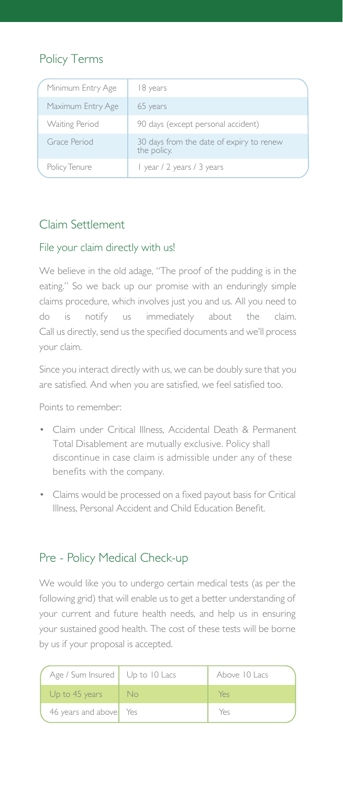# Policy Terms

| Minimum Entry Age     | 18 years                                                |  |
|-----------------------|---------------------------------------------------------|--|
| Maximum Entry Age     | 65 years                                                |  |
| <b>Waiting Period</b> | 90 days (except personal accident)                      |  |
| Grace Period          | 30 days from the date of expiry to renew<br>the policy. |  |
| Policy Tenure         | I year / 2 years / 3 years                              |  |

## Claim Settlement

#### File your claim directly with us!

We believe in the old adage, "The proof of the pudding is in the eating." So we back up our promise with an enduringly simple claims procedure, which involves just you and us. All you need to do is notify us immediately about the claim. Call us directly, send us the specified documents and we'll process your claim.

Since you interact directly with us, we can be doubly sure that you are satisfied. And when you are satisfied, we feel satisfied too.

Points to remember:

- Claim under Critical Illness, Accidental Death & Permanent Total Disablement are mutually exclusive. Policy shall discontinue in case claim is admissible under any of these benefits with the company.
- Claims would be processed on a fixed payout basis for Critical Illness, Personal Accident and Child Education Benefit.

# Pre - Policy Medical Check-up

We would like you to undergo certain medical tests (as per the following grid) that will enable us to get a better understanding of your current and future health needs, and help us in ensuring your sustained good health. The cost of these tests will be borne by us if your proposal is accepted.

| Age / Sum Insured   Up to 10 Lacs |      | Above 10 Lacs |
|-----------------------------------|------|---------------|
| Up to 45 years                    | - No | Yes           |
| 46 years and above Yes            |      | Yes           |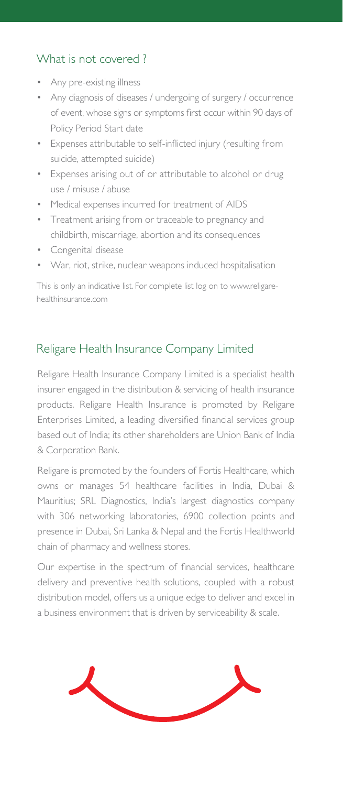# What is not covered ?

- Any pre-existing illness
- Any diagnosis of diseases / undergoing of surgery / occurrence of event, whose signs or symptoms first occur within 90 days of Policy Period Start date
- Expenses attributable to self-inflicted injury (resulting from suicide, attempted suicide)
- Expenses arising out of or attributable to alcohol or drug use / misuse / abuse
- Medical expenses incurred for treatment of AIDS
- Treatment arising from or traceable to pregnancy and childbirth, miscarriage, abortion and its consequences
- Congenital disease
- War, riot, strike, nuclear weapons induced hospitalisation

This is only an indicative list. For complete list log on to www.religarehealthinsurance.com

# Religare Health Insurance Company Limited

Religare Health Insurance Company Limited is a specialist health insurer engaged in the distribution & servicing of health insurance products. Religare Health Insurance is promoted by Religare Enterprises Limited, a leading diversified financial services group based out of India; its other shareholders are Union Bank of India & Corporation Bank.

Religare is promoted by the founders of Fortis Healthcare, which owns or manages 54 healthcare facilities in India, Dubai & Mauritius; SRL Diagnostics, India's largest diagnostics company with 306 networking laboratories, 6900 collection points and presence in Dubai, Sri Lanka & Nepal and the Fortis Healthworld chain of pharmacy and wellness stores.

Our expertise in the spectrum of financial services, healthcare delivery and preventive health solutions, coupled with a robust distribution model, offers us a unique edge to deliver and excel in a business environment that is driven by serviceability & scale.